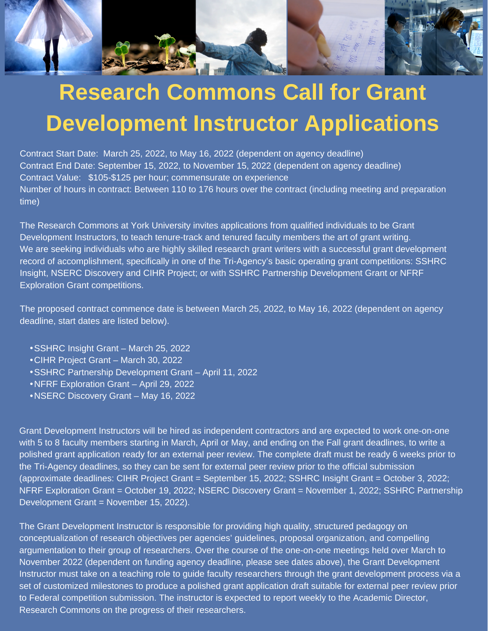

## **Research Commons Call for Grant Development Instructor Applications**

Contract Start Date: March 25, 2022, to May 16, 2022 (dependent on agency deadline) Contract End Date: September 15, 2022, to November 15, 2022 (dependent on agency deadline) Contract Value: \$105-\$125 per hour; commensurate on experience Number of hours in contract: Between 110 to 176 hours over the contract (including meeting and preparation time)

The Research Commons at York University invites applications from qualified individuals to be Grant Development Instructors, to teach tenure-track and tenured faculty members the art of grant writing. We are seeking individuals who are highly skilled research grant writers with a successful grant development record of accomplishment, specifically in one of the Tri-Agency's basic operating grant competitions: SSHRC Insight, NSERC Discovery and CIHR Project; or with SSHRC Partnership Development Grant or NFRF Exploration Grant competitions.

The proposed contract commence date is between March 25, 2022, to May 16, 2022 (dependent on agency deadline, start dates are listed below).

- SSHRC Insight Grant March 25, 2022
- CIHR Project Grant March 30, 2022
- SSHRC Partnership Development Grant April 11, 2022
- NFRF Exploration Grant April 29, 2022
- NSERC Discovery Grant May 16, 2022

Grant Development Instructors will be hired as independent contractors and are expected to work one-on-one with 5 to 8 faculty members starting in March, April or May, and ending on the Fall grant deadlines, to write a polished grant application ready for an external peer review. The complete draft must be ready 6 weeks prior to the Tri-Agency deadlines, so they can be sent for external peer review prior to the official submission (approximate deadlines: CIHR Project Grant = September 15, 2022; SSHRC Insight Grant = October 3, 2022; NFRF Exploration Grant = October 19, 2022; NSERC Discovery Grant = November 1, 2022; SSHRC Partnership Development Grant = November 15, 2022).

The Grant Development Instructor is responsible for providing high quality, structured pedagogy on conceptualization of research objectives per agencies' guidelines, proposal organization, and compelling argumentation to their group of researchers. Over the course of the one-on-one meetings held over March to November 2022 (dependent on funding agency deadline, please see dates above), the Grant Development Instructor must take on a teaching role to guide faculty researchers through the grant development process via a set of customized milestones to produce a polished grant application draft suitable for external peer review prior to Federal competition submission. The instructor is expected to report weekly to the Academic Director, Research Commons on the progress of their researchers.